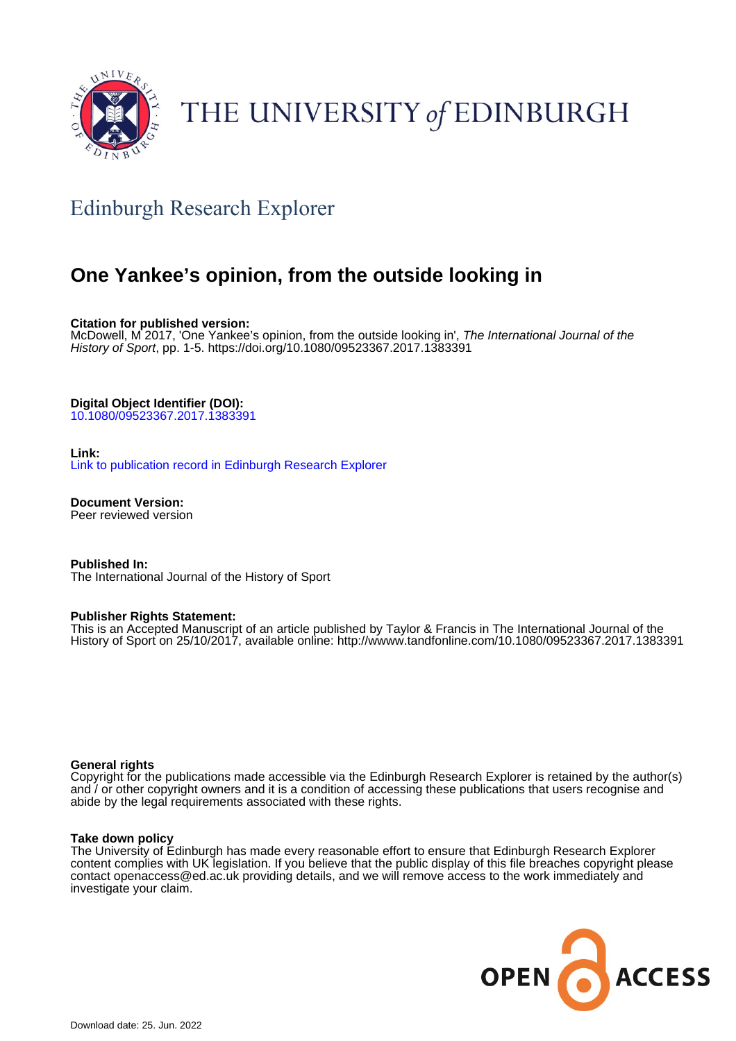

# THE UNIVERSITY of EDINBURGH

## Edinburgh Research Explorer

### **One Yankee's opinion, from the outside looking in**

**Citation for published version:**

McDowell, M 2017, 'One Yankee's opinion, from the outside looking in', The International Journal of the History of Sport, pp. 1-5.<https://doi.org/10.1080/09523367.2017.1383391>

**Digital Object Identifier (DOI):**

[10.1080/09523367.2017.1383391](https://doi.org/10.1080/09523367.2017.1383391)

#### **Link:**

[Link to publication record in Edinburgh Research Explorer](https://www.research.ed.ac.uk/en/publications/1d4de62d-5319-4cea-bbba-042971540f3d)

**Document Version:** Peer reviewed version

**Published In:** The International Journal of the History of Sport

#### **Publisher Rights Statement:**

This is an Accepted Manuscript of an article published by Taylor & Francis in The International Journal of the History of Sport on 25/10/2017, available online: http://wwww.tandfonline.com/10.1080/09523367.2017.1383391

#### **General rights**

Copyright for the publications made accessible via the Edinburgh Research Explorer is retained by the author(s) and / or other copyright owners and it is a condition of accessing these publications that users recognise and abide by the legal requirements associated with these rights.

#### **Take down policy**

The University of Edinburgh has made every reasonable effort to ensure that Edinburgh Research Explorer content complies with UK legislation. If you believe that the public display of this file breaches copyright please contact openaccess@ed.ac.uk providing details, and we will remove access to the work immediately and investigate your claim.

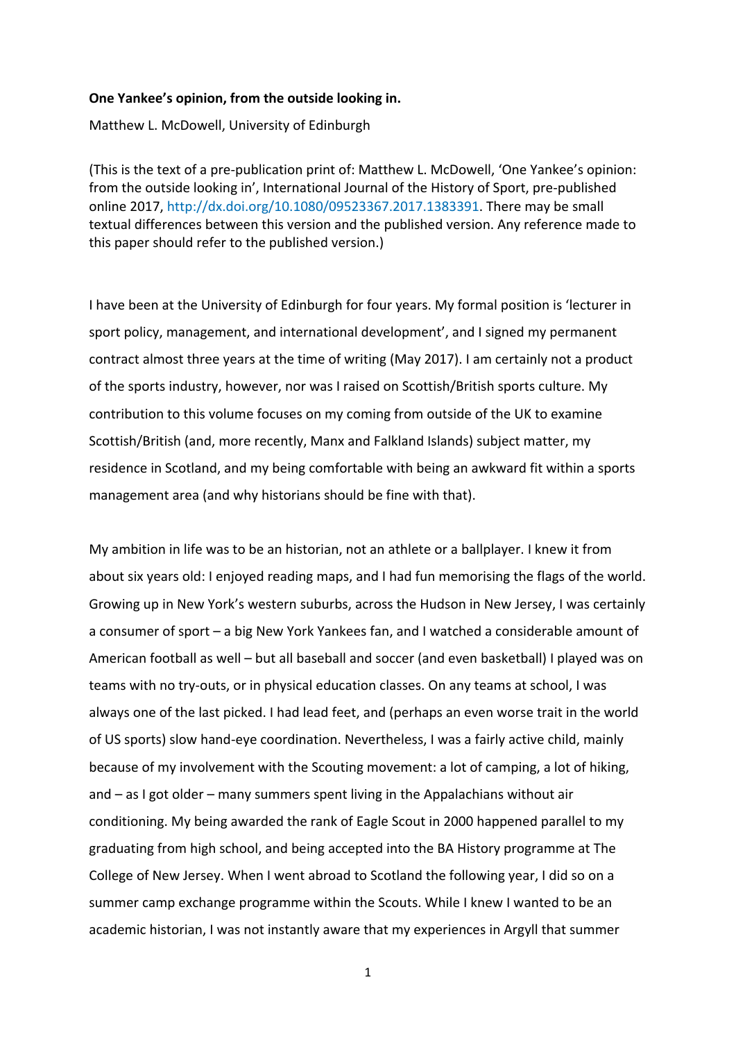### **One Yankee's opinion, from the outside looking in.**

Matthew L. McDowell, University of Edinburgh

(This is the text of a pre-publication print of: Matthew L. McDowell, 'One Yankee's opinion: from the outside looking in', International Journal of the History of Sport, pre-published online 2017, [http://dx.doi.org/10.1080/09523367.2017.1383391.](http://dx.doi.org/10.1080/09523367.2017.1383391) There may be small textual differences between this version and the published version. Any reference made to this paper should refer to the published version.)

I have been at the University of Edinburgh for four years. My formal position is 'lecturer in sport policy, management, and international development', and I signed my permanent contract almost three years at the time of writing (May 2017). I am certainly not a product of the sports industry, however, nor was I raised on Scottish/British sports culture. My contribution to this volume focuses on my coming from outside of the UK to examine Scottish/British (and, more recently, Manx and Falkland Islands) subject matter, my residence in Scotland, and my being comfortable with being an awkward fit within a sports management area (and why historians should be fine with that).

My ambition in life was to be an historian, not an athlete or a ballplayer. I knew it from about six years old: I enjoyed reading maps, and I had fun memorising the flags of the world. Growing up in New York's western suburbs, across the Hudson in New Jersey, I was certainly a consumer of sport – a big New York Yankees fan, and I watched a considerable amount of American football as well – but all baseball and soccer (and even basketball) I played was on teams with no try-outs, or in physical education classes. On any teams at school, I was always one of the last picked. I had lead feet, and (perhaps an even worse trait in the world of US sports) slow hand-eye coordination. Nevertheless, I was a fairly active child, mainly because of my involvement with the Scouting movement: a lot of camping, a lot of hiking, and – as I got older – many summers spent living in the Appalachians without air conditioning. My being awarded the rank of Eagle Scout in 2000 happened parallel to my graduating from high school, and being accepted into the BA History programme at The College of New Jersey. When I went abroad to Scotland the following year, I did so on a summer camp exchange programme within the Scouts. While I knew I wanted to be an academic historian, I was not instantly aware that my experiences in Argyll that summer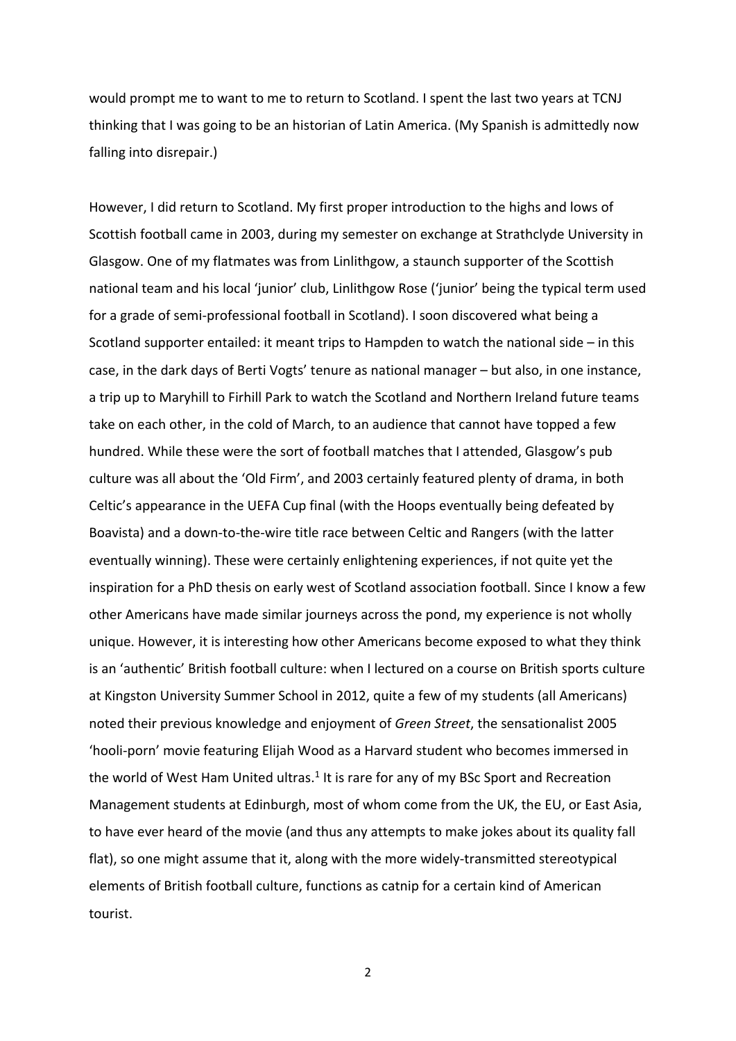would prompt me to want to me to return to Scotland. I spent the last two years at TCNJ thinking that I was going to be an historian of Latin America. (My Spanish is admittedly now falling into disrepair.)

However, I did return to Scotland. My first proper introduction to the highs and lows of Scottish football came in 2003, during my semester on exchange at Strathclyde University in Glasgow. One of my flatmates was from Linlithgow, a staunch supporter of the Scottish national team and his local 'junior' club, Linlithgow Rose ('junior' being the typical term used for a grade of semi-professional football in Scotland). I soon discovered what being a Scotland supporter entailed: it meant trips to Hampden to watch the national side – in this case, in the dark days of Berti Vogts' tenure as national manager – but also, in one instance, a trip up to Maryhill to Firhill Park to watch the Scotland and Northern Ireland future teams take on each other, in the cold of March, to an audience that cannot have topped a few hundred. While these were the sort of football matches that I attended, Glasgow's pub culture was all about the 'Old Firm', and 2003 certainly featured plenty of drama, in both Celtic's appearance in the UEFA Cup final (with the Hoops eventually being defeated by Boavista) and a down-to-the-wire title race between Celtic and Rangers (with the latter eventually winning). These were certainly enlightening experiences, if not quite yet the inspiration for a PhD thesis on early west of Scotland association football. Since I know a few other Americans have made similar journeys across the pond, my experience is not wholly unique. However, it is interesting how other Americans become exposed to what they think is an 'authentic' British football culture: when I lectured on a course on British sports culture at Kingston University Summer School in 2012, quite a few of my students (all Americans) noted their previous knowledge and enjoyment of *Green Street*, the sensationalist 2005 'hooli-porn' movie featuring Elijah Wood as a Harvard student who becomes immersed in the world of West Ham United ultras.<sup>1</sup> It is rare for any of my BSc Sport and Recreation Management students at Edinburgh, most of whom come from the UK, the EU, or East Asia, to have ever heard of the movie (and thus any attempts to make jokes about its quality fall flat), so one might assume that it, along with the more widely-transmitted stereotypical elements of British football culture, functions as catnip for a certain kind of American tourist.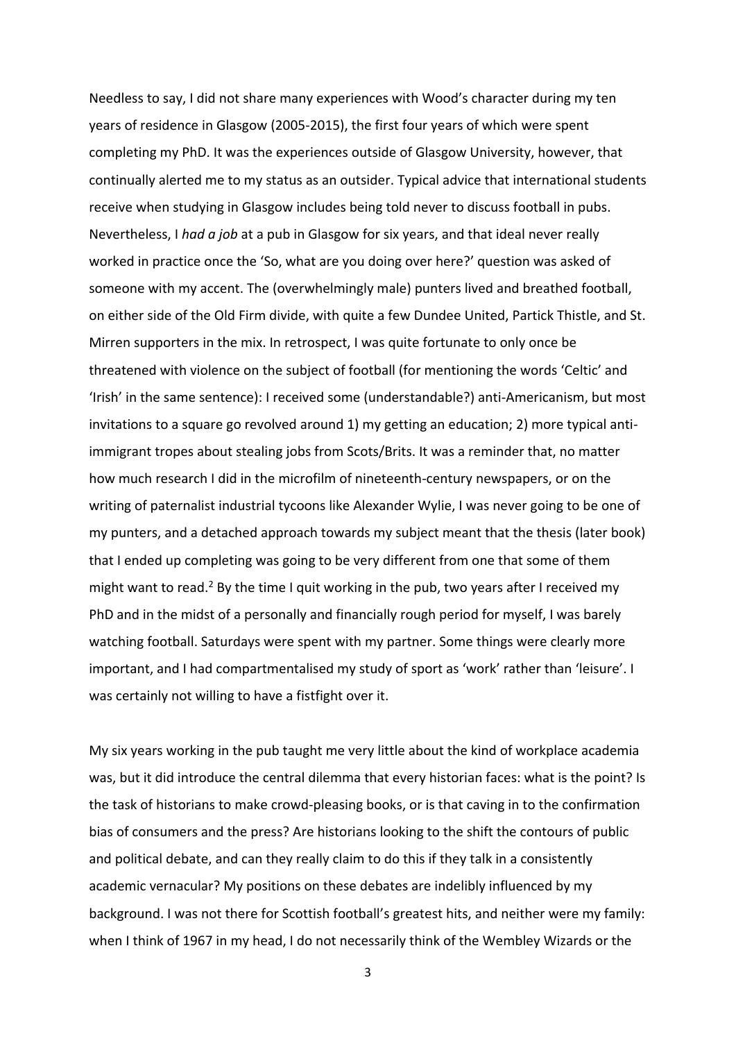Needless to say, I did not share many experiences with Wood's character during my ten years of residence in Glasgow (2005-2015), the first four years of which were spent completing my PhD. It was the experiences outside of Glasgow University, however, that continually alerted me to my status as an outsider. Typical advice that international students receive when studying in Glasgow includes being told never to discuss football in pubs. Nevertheless, I *had a job* at a pub in Glasgow for six years, and that ideal never really worked in practice once the 'So, what are you doing over here?' question was asked of someone with my accent. The (overwhelmingly male) punters lived and breathed football, on either side of the Old Firm divide, with quite a few Dundee United, Partick Thistle, and St. Mirren supporters in the mix. In retrospect, I was quite fortunate to only once be threatened with violence on the subject of football (for mentioning the words 'Celtic' and 'Irish' in the same sentence): I received some (understandable?) anti-Americanism, but most invitations to a square go revolved around 1) my getting an education; 2) more typical antiimmigrant tropes about stealing jobs from Scots/Brits. It was a reminder that, no matter how much research I did in the microfilm of nineteenth-century newspapers, or on the writing of paternalist industrial tycoons like Alexander Wylie, I was never going to be one of my punters, and a detached approach towards my subject meant that the thesis (later book) that I ended up completing was going to be very different from one that some of them might want to read.<sup>2</sup> By the time I quit working in the pub, two years after I received my PhD and in the midst of a personally and financially rough period for myself, I was barely watching football. Saturdays were spent with my partner. Some things were clearly more important, and I had compartmentalised my study of sport as 'work' rather than 'leisure'. I was certainly not willing to have a fistfight over it.

My six years working in the pub taught me very little about the kind of workplace academia was, but it did introduce the central dilemma that every historian faces: what is the point? Is the task of historians to make crowd-pleasing books, or is that caving in to the confirmation bias of consumers and the press? Are historians looking to the shift the contours of public and political debate, and can they really claim to do this if they talk in a consistently academic vernacular? My positions on these debates are indelibly influenced by my background. I was not there for Scottish football's greatest hits, and neither were my family: when I think of 1967 in my head, I do not necessarily think of the Wembley Wizards or the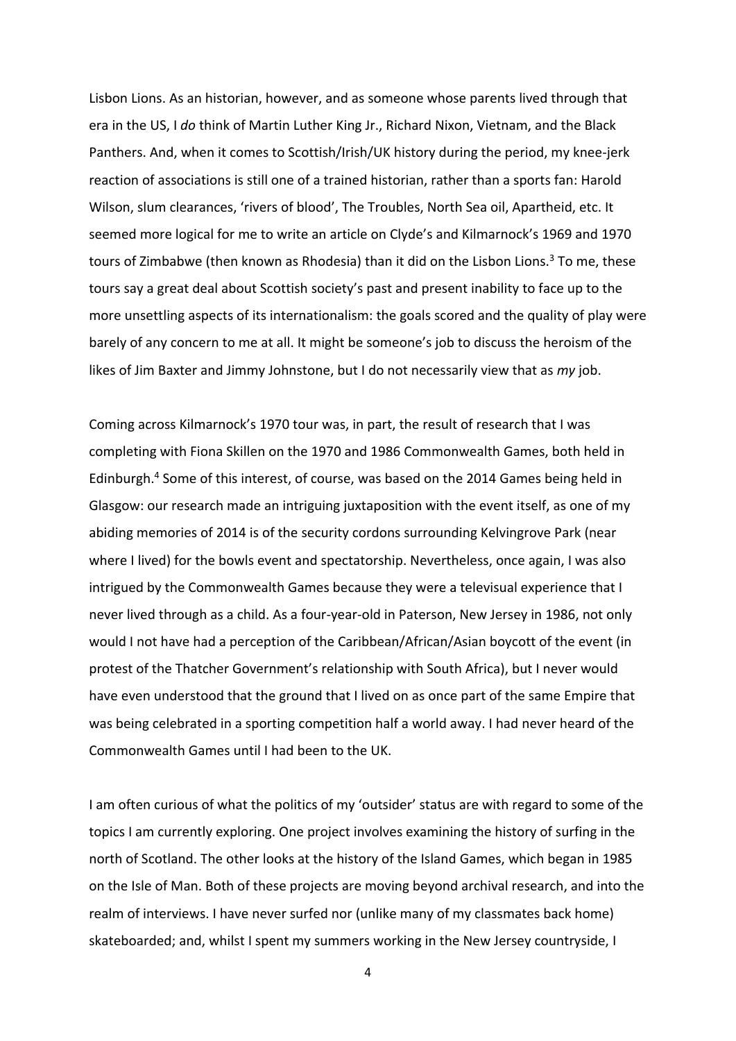Lisbon Lions. As an historian, however, and as someone whose parents lived through that era in the US, I *do* think of Martin Luther King Jr., Richard Nixon, Vietnam, and the Black Panthers. And, when it comes to Scottish/Irish/UK history during the period, my knee-jerk reaction of associations is still one of a trained historian, rather than a sports fan: Harold Wilson, slum clearances, 'rivers of blood', The Troubles, North Sea oil, Apartheid, etc. It seemed more logical for me to write an article on Clyde's and Kilmarnock's 1969 and 1970 tours of Zimbabwe (then known as Rhodesia) than it did on the Lisbon Lions.<sup>3</sup> To me, these tours say a great deal about Scottish society's past and present inability to face up to the more unsettling aspects of its internationalism: the goals scored and the quality of play were barely of any concern to me at all. It might be someone's job to discuss the heroism of the likes of Jim Baxter and Jimmy Johnstone, but I do not necessarily view that as *my* job.

Coming across Kilmarnock's 1970 tour was, in part, the result of research that I was completing with Fiona Skillen on the 1970 and 1986 Commonwealth Games, both held in Edinburgh.<sup>4</sup> Some of this interest, of course, was based on the 2014 Games being held in Glasgow: our research made an intriguing juxtaposition with the event itself, as one of my abiding memories of 2014 is of the security cordons surrounding Kelvingrove Park (near where I lived) for the bowls event and spectatorship. Nevertheless, once again, I was also intrigued by the Commonwealth Games because they were a televisual experience that I never lived through as a child. As a four-year-old in Paterson, New Jersey in 1986, not only would I not have had a perception of the Caribbean/African/Asian boycott of the event (in protest of the Thatcher Government's relationship with South Africa), but I never would have even understood that the ground that I lived on as once part of the same Empire that was being celebrated in a sporting competition half a world away. I had never heard of the Commonwealth Games until I had been to the UK.

I am often curious of what the politics of my 'outsider' status are with regard to some of the topics I am currently exploring. One project involves examining the history of surfing in the north of Scotland. The other looks at the history of the Island Games, which began in 1985 on the Isle of Man. Both of these projects are moving beyond archival research, and into the realm of interviews. I have never surfed nor (unlike many of my classmates back home) skateboarded; and, whilst I spent my summers working in the New Jersey countryside, I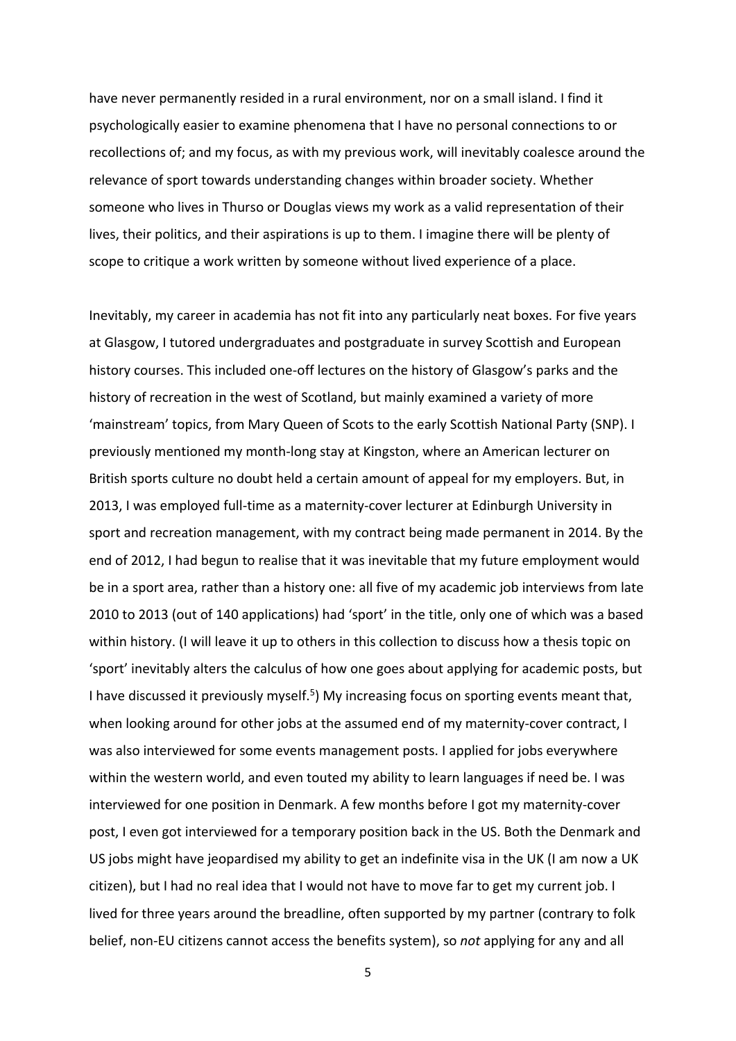have never permanently resided in a rural environment, nor on a small island. I find it psychologically easier to examine phenomena that I have no personal connections to or recollections of; and my focus, as with my previous work, will inevitably coalesce around the relevance of sport towards understanding changes within broader society. Whether someone who lives in Thurso or Douglas views my work as a valid representation of their lives, their politics, and their aspirations is up to them. I imagine there will be plenty of scope to critique a work written by someone without lived experience of a place.

Inevitably, my career in academia has not fit into any particularly neat boxes. For five years at Glasgow, I tutored undergraduates and postgraduate in survey Scottish and European history courses. This included one-off lectures on the history of Glasgow's parks and the history of recreation in the west of Scotland, but mainly examined a variety of more 'mainstream' topics, from Mary Queen of Scots to the early Scottish National Party (SNP). I previously mentioned my month-long stay at Kingston, where an American lecturer on British sports culture no doubt held a certain amount of appeal for my employers. But, in 2013, I was employed full-time as a maternity-cover lecturer at Edinburgh University in sport and recreation management, with my contract being made permanent in 2014. By the end of 2012, I had begun to realise that it was inevitable that my future employment would be in a sport area, rather than a history one: all five of my academic job interviews from late 2010 to 2013 (out of 140 applications) had 'sport' in the title, only one of which was a based within history. (I will leave it up to others in this collection to discuss how a thesis topic on 'sport' inevitably alters the calculus of how one goes about applying for academic posts, but I have discussed it previously myself.<sup>5</sup>) My increasing focus on sporting events meant that, when looking around for other jobs at the assumed end of my maternity-cover contract, I was also interviewed for some events management posts. I applied for jobs everywhere within the western world, and even touted my ability to learn languages if need be. I was interviewed for one position in Denmark. A few months before I got my maternity-cover post, I even got interviewed for a temporary position back in the US. Both the Denmark and US jobs might have jeopardised my ability to get an indefinite visa in the UK (I am now a UK citizen), but I had no real idea that I would not have to move far to get my current job. I lived for three years around the breadline, often supported by my partner (contrary to folk belief, non-EU citizens cannot access the benefits system), so *not* applying for any and all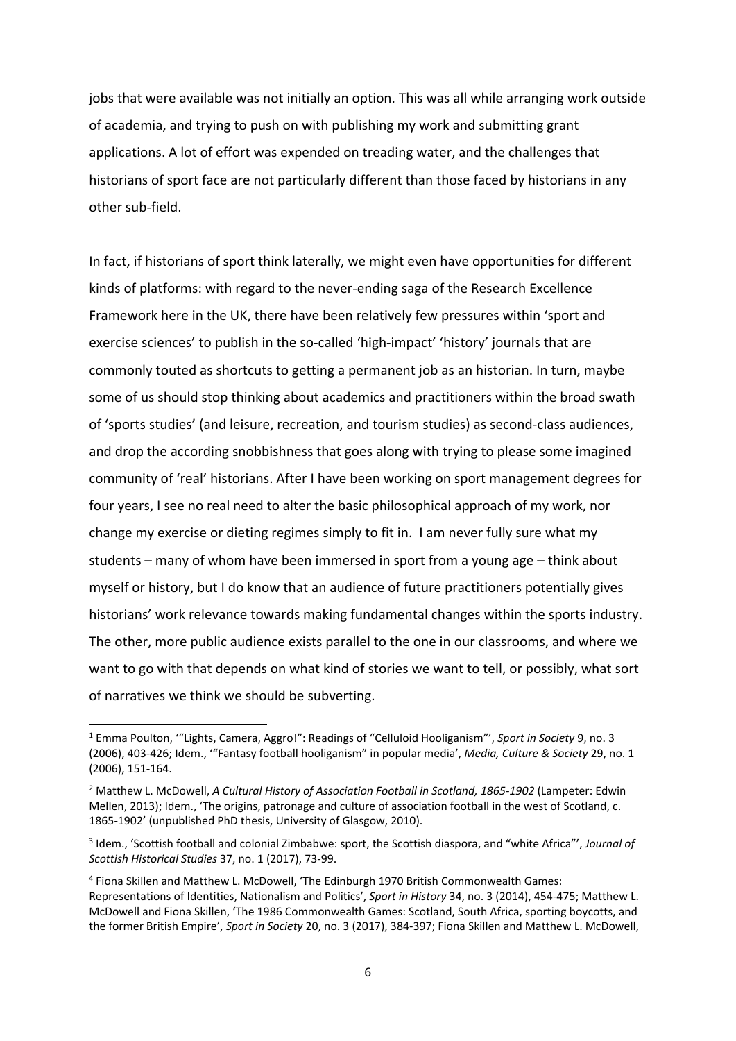jobs that were available was not initially an option. This was all while arranging work outside of academia, and trying to push on with publishing my work and submitting grant applications. A lot of effort was expended on treading water, and the challenges that historians of sport face are not particularly different than those faced by historians in any other sub-field.

In fact, if historians of sport think laterally, we might even have opportunities for different kinds of platforms: with regard to the never-ending saga of the Research Excellence Framework here in the UK, there have been relatively few pressures within 'sport and exercise sciences' to publish in the so-called 'high-impact' 'history' journals that are commonly touted as shortcuts to getting a permanent job as an historian. In turn, maybe some of us should stop thinking about academics and practitioners within the broad swath of 'sports studies' (and leisure, recreation, and tourism studies) as second-class audiences, and drop the according snobbishness that goes along with trying to please some imagined community of 'real' historians. After I have been working on sport management degrees for four years, I see no real need to alter the basic philosophical approach of my work, nor change my exercise or dieting regimes simply to fit in. I am never fully sure what my students – many of whom have been immersed in sport from a young age – think about myself or history, but I do know that an audience of future practitioners potentially gives historians' work relevance towards making fundamental changes within the sports industry. The other, more public audience exists parallel to the one in our classrooms, and where we want to go with that depends on what kind of stories we want to tell, or possibly, what sort of narratives we think we should be subverting.

**.** 

<sup>1</sup> Emma Poulton, '"Lights, Camera, Aggro!": Readings of "Celluloid Hooliganism"', *Sport in Society* 9, no. 3 (2006), 403-426; Idem., '"Fantasy football hooliganism" in popular media', *Media, Culture & Society* 29, no. 1 (2006), 151-164.

<sup>2</sup> Matthew L. McDowell, *A Cultural History of Association Football in Scotland, 1865-1902* (Lampeter: Edwin Mellen, 2013); Idem., 'The origins, patronage and culture of association football in the west of Scotland, c. 1865-1902' (unpublished PhD thesis, University of Glasgow, 2010).

<sup>3</sup> Idem., 'Scottish football and colonial Zimbabwe: sport, the Scottish diaspora, and "white Africa"', *Journal of Scottish Historical Studies* 37, no. 1 (2017), 73-99.

<sup>4</sup> Fiona Skillen and Matthew L. McDowell, 'The Edinburgh 1970 British Commonwealth Games: Representations of Identities, Nationalism and Politics', *Sport in History* 34, no. 3 (2014), 454-475; Matthew L. McDowell and Fiona Skillen, 'The 1986 Commonwealth Games: Scotland, South Africa, sporting boycotts, and the former British Empire', *Sport in Society* 20, no. 3 (2017), 384-397; Fiona Skillen and Matthew L. McDowell,